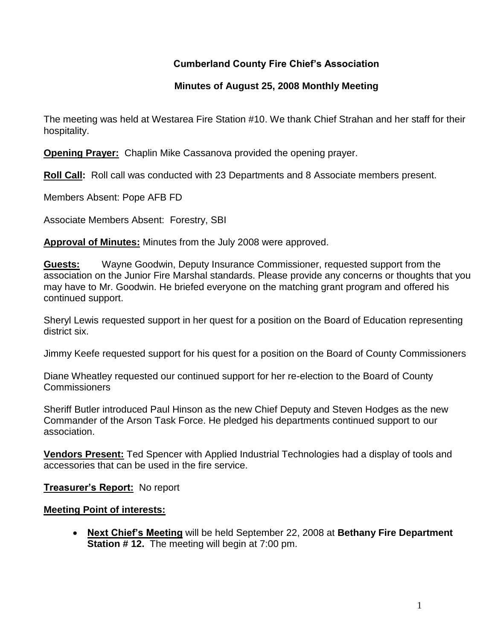# **Cumberland County Fire Chief's Association**

## **Minutes of August 25, 2008 Monthly Meeting**

The meeting was held at Westarea Fire Station #10. We thank Chief Strahan and her staff for their hospitality.

**Opening Prayer:** Chaplin Mike Cassanova provided the opening prayer.

**Roll Call:** Roll call was conducted with 23 Departments and 8 Associate members present.

Members Absent: Pope AFB FD

Associate Members Absent: Forestry, SBI

**Approval of Minutes:** Minutes from the July 2008 were approved.

**Guests:** Wayne Goodwin, Deputy Insurance Commissioner, requested support from the association on the Junior Fire Marshal standards. Please provide any concerns or thoughts that you may have to Mr. Goodwin. He briefed everyone on the matching grant program and offered his continued support.

Sheryl Lewis requested support in her quest for a position on the Board of Education representing district six.

Jimmy Keefe requested support for his quest for a position on the Board of County Commissioners

Diane Wheatley requested our continued support for her re-election to the Board of County Commissioners

Sheriff Butler introduced Paul Hinson as the new Chief Deputy and Steven Hodges as the new Commander of the Arson Task Force. He pledged his departments continued support to our association.

**Vendors Present:** Ted Spencer with Applied Industrial Technologies had a display of tools and accessories that can be used in the fire service.

**Treasurer's Report:** No report

#### **Meeting Point of interests:**

 **Next Chief's Meeting** will be held September 22, 2008 at **Bethany Fire Department Station # 12.** The meeting will begin at 7:00 pm.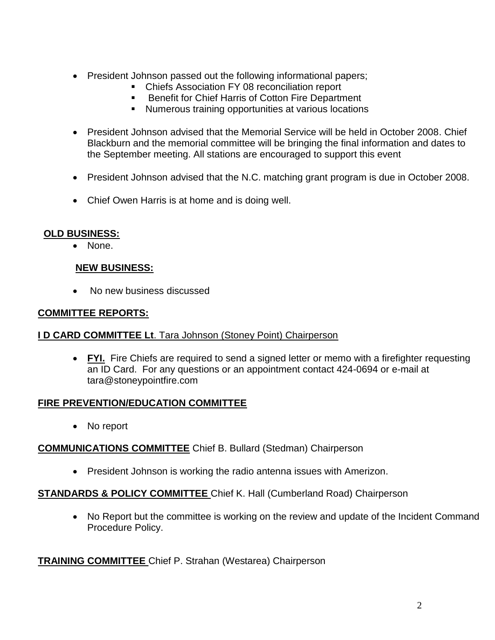- President Johnson passed out the following informational papers;
	- Chiefs Association FY 08 reconciliation report
	- Benefit for Chief Harris of Cotton Fire Department
	- Numerous training opportunities at various locations
- President Johnson advised that the Memorial Service will be held in October 2008. Chief Blackburn and the memorial committee will be bringing the final information and dates to the September meeting. All stations are encouraged to support this event
- President Johnson advised that the N.C. matching grant program is due in October 2008.
- Chief Owen Harris is at home and is doing well.

## **OLD BUSINESS:**

• None.

# **NEW BUSINESS:**

No new business discussed

# **COMMITTEE REPORTS:**

## **I D CARD COMMITTEE Lt**. Tara Johnson (Stoney Point) Chairperson

• FYI. Fire Chiefs are required to send a signed letter or memo with a firefighter requesting an ID Card. For any questions or an appointment contact 424-0694 or e-mail at [tara@stoneypointfire.com](mailto:tara@stoneypointfire.com)

## **FIRE PREVENTION/EDUCATION COMMITTEE**

• No report

## **COMMUNICATIONS COMMITTEE** Chief B. Bullard (Stedman) Chairperson

President Johnson is working the radio antenna issues with Amerizon.

## **STANDARDS & POLICY COMMITTEE** Chief K. Hall (Cumberland Road) Chairperson

• No Report but the committee is working on the review and update of the Incident Command Procedure Policy.

**TRAINING COMMITTEE** Chief P. Strahan (Westarea) Chairperson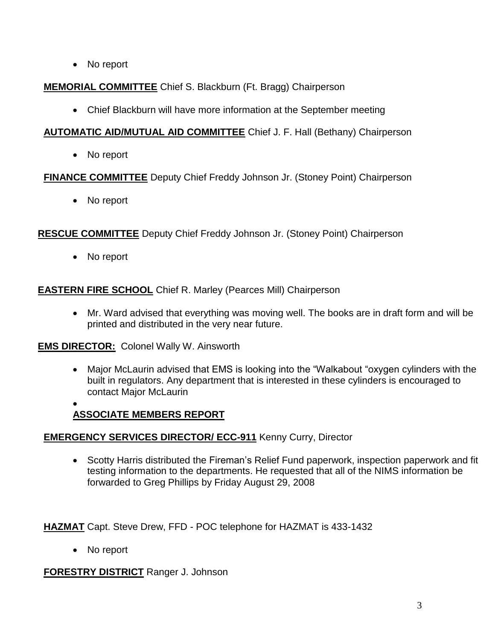No report

**MEMORIAL COMMITTEE** Chief S. Blackburn (Ft. Bragg) Chairperson

Chief Blackburn will have more information at the September meeting

**AUTOMATIC AID/MUTUAL AID COMMITTEE** Chief J. F. Hall (Bethany) Chairperson

No report

**FINANCE COMMITTEE** Deputy Chief Freddy Johnson Jr. (Stoney Point) Chairperson

• No report

**RESCUE COMMITTEE** Deputy Chief Freddy Johnson Jr. (Stoney Point) Chairperson

No report

**EASTERN FIRE SCHOOL** Chief R. Marley (Pearces Mill) Chairperson

 Mr. Ward advised that everything was moving well. The books are in draft form and will be printed and distributed in the very near future.

**EMS DIRECTOR:** Colonel Wally W. Ainsworth

 Major McLaurin advised that EMS is looking into the "Walkabout "oxygen cylinders with the built in regulators. Any department that is interested in these cylinders is encouraged to contact Major McLaurin

#### $\bullet$ **ASSOCIATE MEMBERS REPORT**

# **EMERGENCY SERVICES DIRECTOR/ ECC-911** Kenny Curry, Director

• Scotty Harris distributed the Fireman's Relief Fund paperwork, inspection paperwork and fit testing information to the departments. He requested that all of the NIMS information be forwarded to Greg Phillips by Friday August 29, 2008

**HAZMAT** Capt. Steve Drew, FFD - POC telephone for HAZMAT is 433-1432

• No report

**FORESTRY DISTRICT** Ranger J. Johnson